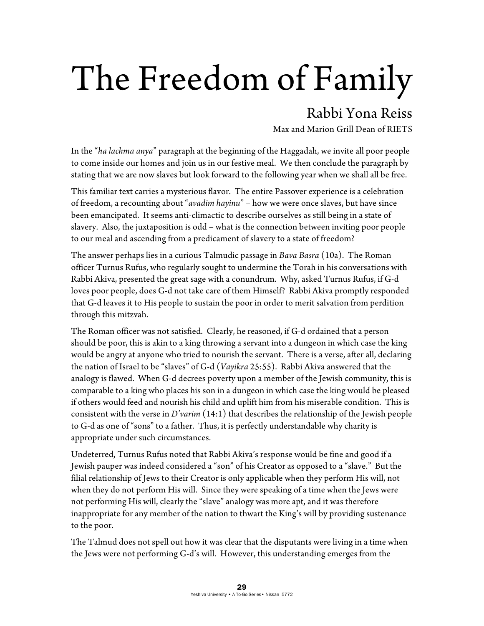## The Freedom of Family

## Rabbi Yona Reiss

Max and Marion Grill Dean of RIETS

In the "*ha lachma anya*" paragraph at the beginning of the Haggadah, we invite all poor people to come inside our homes and join us in our festive meal. We then conclude the paragraph by stating that we are now slaves but look forward to the following year when we shall all be free.

This familiar text carries a mysterious flavor. The entire Passover experience is a celebration of freedom, a recounting about "*avadim hayinu*" – how we were once slaves, but have since been emancipated. It seems anti-climactic to describe ourselves as still being in a state of slavery. Also, the juxtaposition is odd – what is the connection between inviting poor people to our meal and ascending from a predicament of slavery to a state of freedom?

The answer perhaps lies in a curious Talmudic passage in *Bava Basra* (10a). The Roman officer Turnus Rufus, who regularly sought to undermine the Torah in his conversations with Rabbi Akiva, presented the great sage with a conundrum. Why, asked Turnus Rufus, if G-d loves poor people, does G-d not take care of them Himself? Rabbi Akiva promptly responded that G-d leaves it to His people to sustain the poor in order to merit salvation from perdition through this mitzvah.

The Roman officer was not satisfied. Clearly, he reasoned, if G-d ordained that a person should be poor, this is akin to a king throwing a servant into a dungeon in which case the king would be angry at anyone who tried to nourish the servant. There is a verse, after all, declaring the nation of Israel to be "slaves" of G-d (*Vayikra* 25:55). Rabbi Akiva answered that the analogy is flawed. When G-d decrees poverty upon a member of the Jewish community, this is comparable to a king who places his son in a dungeon in which case the king would be pleased if others would feed and nourish his child and uplift him from his miserable condition. This is consistent with the verse in *D'varim* (14:1) that describes the relationship of the Jewish people to G-d as one of "sons" to a father. Thus, it is perfectly understandable why charity is appropriate under such circumstances.

Undeterred, Turnus Rufus noted that Rabbi Akiva's response would be fine and good if a Jewish pauper was indeed considered a "son" of his Creator as opposed to a "slave." But the filial relationship of Jews to their Creator is only applicable when they perform His will, not when they do not perform His will. Since they were speaking of a time when the Jews were not performing His will, clearly the "slave" analogy was more apt, and it was therefore inappropriate for any member of the nation to thwart the King's will by providing sustenance to the poor.

The Talmud does not spell out how it was clear that the disputants were living in a time when the Jews were not performing G-d's will. However, this understanding emerges from the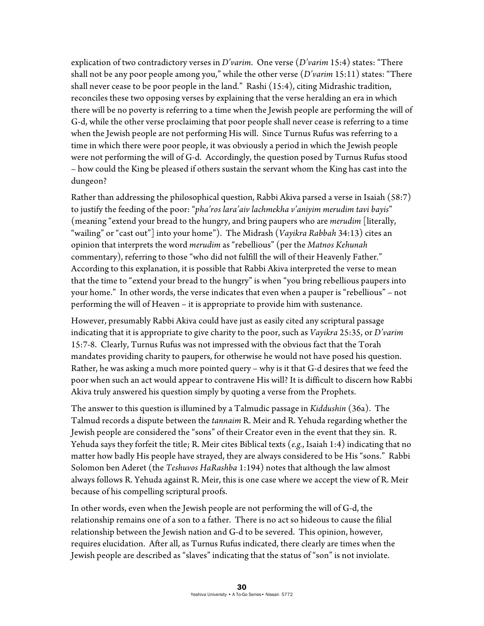explication of two contradictory verses in *D'varim*. One verse (*D'varim* 15:4) states: "There shall not be any poor people among you," while the other verse (*D'varim* 15:11) states: "There shall never cease to be poor people in the land." Rashi (15:4), citing Midrashic tradition, reconciles these two opposing verses by explaining that the verse heralding an era in which there will be no poverty is referring to a time when the Jewish people are performing the will of G-d, while the other verse proclaiming that poor people shall never cease is referring to a time when the Jewish people are not performing His will. Since Turnus Rufus was referring to a time in which there were poor people, it was obviously a period in which the Jewish people were not performing the will of G-d. Accordingly, the question posed by Turnus Rufus stood – how could the King be pleased if others sustain the servant whom the King has cast into the dungeon?

Rather than addressing the philosophical question, Rabbi Akiva parsed a verse in Isaiah (58:7) to justify the feeding of the poor: "*pha'ros lara'aiv lachmekha v'aniyim merudim tavi bayis*" (meaning "extend your bread to the hungry, and bring paupers who are *merudim* [literally, "wailing" or "cast out"] into your home"). The Midrash (*Vayikra Rabbah* 34:13) cites an opinion that interprets the word *merudim* as "rebellious" (per the *Matnos Kehunah* commentary), referring to those "who did not fulfill the will of their Heavenly Father." According to this explanation, it is possible that Rabbi Akiva interpreted the verse to mean that the time to "extend your bread to the hungry" is when "you bring rebellious paupers into your home." In other words, the verse indicates that even when a pauper is "rebellious" – not performing the will of Heaven – it is appropriate to provide him with sustenance.

However, presumably Rabbi Akiva could have just as easily cited any scriptural passage indicating that it is appropriate to give charity to the poor, such as *Vayikra* 25:35, or *D'varim*  15:7-8. Clearly, Turnus Rufus was not impressed with the obvious fact that the Torah mandates providing charity to paupers, for otherwise he would not have posed his question. Rather, he was asking a much more pointed query – why is it that G-d desires that we feed the poor when such an act would appear to contravene His will? It is difficult to discern how Rabbi Akiva truly answered his question simply by quoting a verse from the Prophets.

The answer to this question is illumined by a Talmudic passage in *Kiddushin* (36a). The Talmud records a dispute between the *tannaim* R. Meir and R. Yehuda regarding whether the Jewish people are considered the "sons" of their Creator even in the event that they sin. R. Yehuda says they forfeit the title; R. Meir cites Biblical texts (*e.g.*, Isaiah 1:4) indicating that no matter how badly His people have strayed, they are always considered to be His "sons." Rabbi Solomon ben Aderet (the *Teshuvos HaRashba* 1:194) notes that although the law almost always follows R. Yehuda against R. Meir, this is one case where we accept the view of R. Meir because of his compelling scriptural proofs.

In other words, even when the Jewish people are not performing the will of G-d, the relationship remains one of a son to a father. There is no act so hideous to cause the filial relationship between the Jewish nation and G-d to be severed. This opinion, however, requires elucidation. After all, as Turnus Rufus indicated, there clearly are times when the Jewish people are described as "slaves" indicating that the status of "son" is not inviolate.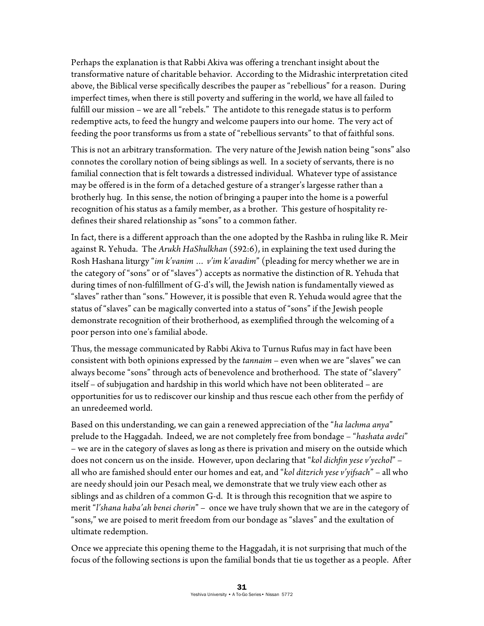Perhaps the explanation is that Rabbi Akiva was offering a trenchant insight about the transformative nature of charitable behavior. According to the Midrashic interpretation cited above, the Biblical verse specifically describes the pauper as "rebellious" for a reason. During imperfect times, when there is still poverty and suffering in the world, we have all failed to fulfill our mission – we are all "rebels." The antidote to this renegade status is to perform redemptive acts, to feed the hungry and welcome paupers into our home. The very act of feeding the poor transforms us from a state of "rebellious servants" to that of faithful sons.

This is not an arbitrary transformation. The very nature of the Jewish nation being "sons" also connotes the corollary notion of being siblings as well. In a society of servants, there is no familial connection that is felt towards a distressed individual. Whatever type of assistance may be offered is in the form of a detached gesture of a stranger's largesse rather than a brotherly hug. In this sense, the notion of bringing a pauper into the home is a powerful recognition of his status as a family member, as a brother. This gesture of hospitality redefines their shared relationship as "sons" to a common father.

In fact, there is a different approach than the one adopted by the Rashba in ruling like R. Meir against R. Yehuda. The *Arukh HaShulkhan* (592:6), in explaining the text used during the Rosh Hashana liturgy "*im k'vanim … v'im k'avadim*" (pleading for mercy whether we are in the category of "sons" or of "slaves") accepts as normative the distinction of R. Yehuda that during times of non-fulfillment of G-d's will, the Jewish nation is fundamentally viewed as "slaves" rather than "sons." However, it is possible that even R. Yehuda would agree that the status of "slaves" can be magically converted into a status of "sons" if the Jewish people demonstrate recognition of their brotherhood, as exemplified through the welcoming of a poor person into one's familial abode.

Thus, the message communicated by Rabbi Akiva to Turnus Rufus may in fact have been consistent with both opinions expressed by the *tannaim* – even when we are "slaves" we can always become "sons" through acts of benevolence and brotherhood. The state of "slavery" itself – of subjugation and hardship in this world which have not been obliterated – are opportunities for us to rediscover our kinship and thus rescue each other from the perfidy of an unredeemed world.

Based on this understanding, we can gain a renewed appreciation of the "*ha lachma anya*" prelude to the Haggadah. Indeed, we are not completely free from bondage – "*hashata avdei*" – we are in the category of slaves as long as there is privation and misery on the outside which does not concern us on the inside. However, upon declaring that "*kol dichfin yese v'yechol*" – all who are famished should enter our homes and eat, and "*kol ditzrich yese v'yifsach*" – all who are needy should join our Pesach meal, we demonstrate that we truly view each other as siblings and as children of a common G-d. It is through this recognition that we aspire to merit "*l'shana haba'ah benei chorin*" – once we have truly shown that we are in the category of "sons," we are poised to merit freedom from our bondage as "slaves" and the exultation of ultimate redemption.

Once we appreciate this opening theme to the Haggadah, it is not surprising that much of the focus of the following sections is upon the familial bonds that tie us together as a people. After